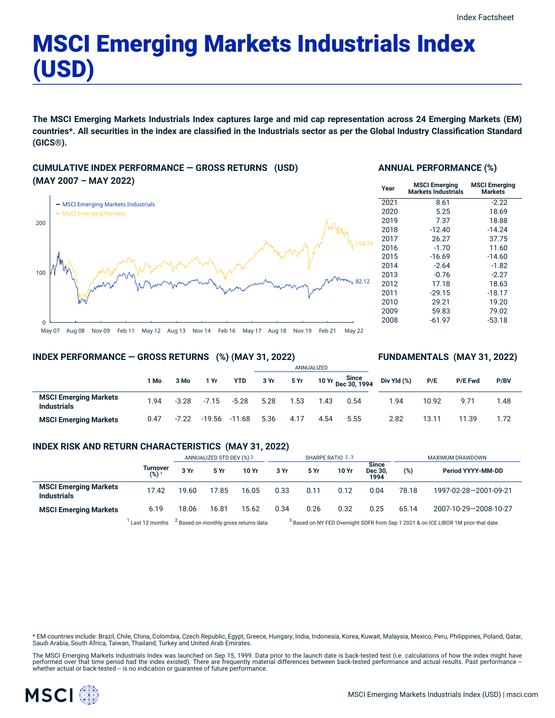# MSCI Emerging Markets Industrials Index (USD)

The MSCI Emerging Markets Industrials Index captures large and mid cap representation across 24 Emerging Markets (EM) countries\*. All securities in the index are classified in the Industrials sector as per the Global Industry Classification Standard **(GICS®).**

### **CUMULATIVE INDEX PERFORMANCE — GROSS RETURNS (USD) (MAY 2007 – MAY 2022)**



#### **ANNUAL PERFORMANCE (%)**

| Year | <b>MSCI Emerging</b><br><b>Markets Industrials</b> | <b>MSCI Emerging</b><br><b>Markets</b> |
|------|----------------------------------------------------|----------------------------------------|
| 2021 | 8.61                                               | $-2.22$                                |
| 2020 | 5.25                                               | 18.69                                  |
| 2019 | 7.37                                               | 18.88                                  |
| 2018 | $-12.40$                                           | $-14.24$                               |
| 2017 | 26.27                                              | 37.75                                  |
| 2016 | $-1.70$                                            | 11.60                                  |
| 2015 | $-16.69$                                           | $-14.60$                               |
| 2014 | $-2.64$                                            | $-1.82$                                |
| 2013 | $-0.76$                                            | $-2.27$                                |
| 2012 | 17.18                                              | 18.63                                  |
| 2011 | $-29.15$                                           | $-18.17$                               |
| 2010 | 29.21                                              | 19.20                                  |
| 2009 | 59.83                                              | 79.02                                  |
| 2008 | $-61.97$                                           | $-53.18$                               |
|      |                                                    |                                        |

**FUNDAMENTALS (MAY 31, 2022)**

#### **INDEX PERFORMANCE — GROSS RETURNS (%) (MAY 31, 2022)**

#### ANNUALIZED **1 Mo 3 Mo 1 Yr YTD 3 Yr 5 Yr 10 Yr Since Dec 30, 1994 MSCI Emerging Markets Industrials** 1.94 -3.28 -7.15 -5.28 5.28 1.53 1.43 0.54 **MSCI Emerging Markets** 0.47 -7.22 -19.56 -11.68 5.36 4.17 4.54 5.55 **Div Yld (%) P/E P/E Fwd P/BV** 1.94 10.92 9.71 1.48 2.82 13.11 11.39 1.72

#### **INDEX RISK AND RETURN CHARACTERISTICS (MAY 31, 2022)**

|                                                    |                 | ANNUALIZED STD DEV (%) 2                                                                                                                          |       | SHARPE RATIO 2,3 |      |      |       | MAXIMUM DRAWDOWN                |       |                       |
|----------------------------------------------------|-----------------|---------------------------------------------------------------------------------------------------------------------------------------------------|-------|------------------|------|------|-------|---------------------------------|-------|-----------------------|
|                                                    | Turnover<br>(%) | 3 Yr                                                                                                                                              | 5 Yr  | 10 Yr            | 3 Yr | 5 Yr | 10 Yr | <b>Since</b><br>Dec 30.<br>1994 | (%)   | Period YYYY-MM-DD     |
| <b>MSCI Emerging Markets</b><br><b>Industrials</b> | 17.42           | 19.60                                                                                                                                             | 17.85 | 16.05            | 0.33 | 0.11 | 0.12  | 0.04                            | 78.18 | 1997-02-28-2001-09-21 |
| <b>MSCI Emerging Markets</b>                       | 6.19            | 18.06                                                                                                                                             | 16.81 | 15.62            | 0.34 | 0.26 | 0.32  | 0.25                            | 65.14 | 2007-10-29-2008-10-27 |
|                                                    | Last 12 months  | <sup>2</sup> Based on monthly gross returns data<br><sup>3</sup> Based on NY FED Overnight SOFR from Sep 1 2021 & on ICE LIBOR 1M prior that date |       |                  |      |      |       |                                 |       |                       |

\* EM countries include: Brazil, Chile, China, Colombia, Czech Republic, Egypt, Greece, Hungary, India, Indonesia, Korea, Kuwait, Malaysia, Mexico, Peru, Philippines, Poland, Qatar, Saudi Arabia, South Africa, Taiwan, Thailand, Turkey and United Arab Emirates.

The MSCI Emerging Markets Industrials Index was launched on Sep 15, 1999. Data prior to the launch date is back-tested test (i.e. calculations of how the index might have<br>performed over that time period had the index exist

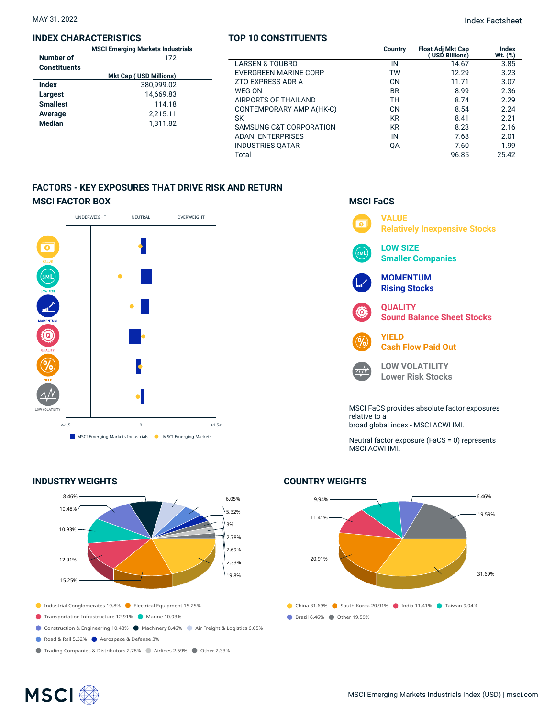#### **INDEX CHARACTERISTICS**

|                     | <b>MSCI Emerging Markets Industrials</b> |  |  |  |
|---------------------|------------------------------------------|--|--|--|
| Number of           | 172                                      |  |  |  |
| <b>Constituents</b> |                                          |  |  |  |
|                     | <b>Mkt Cap (USD Millions)</b>            |  |  |  |
| Index               | 380,999.02                               |  |  |  |
| Largest             | 14.669.83                                |  |  |  |
| <b>Smallest</b>     | 114.18                                   |  |  |  |
| Average             | 2,215.11                                 |  |  |  |
| <b>Median</b>       | 1,311.82                                 |  |  |  |

#### **TOP 10 CONSTITUENTS**

| <b>Markets Industrials</b><br>172 |                          | <b>Country</b> | <b>Float Adj Mkt Cap</b><br>(USD Billions) | <b>Index</b><br>Wt. (%) |
|-----------------------------------|--------------------------|----------------|--------------------------------------------|-------------------------|
|                                   | LARSEN & TOUBRO          | IN             | 14.67                                      | 3.85                    |
| <b>USD Millions)</b>              | EVERGREEN MARINE CORP    | TW             | 12.29                                      | 3.23                    |
| 380,999.02                        | ZTO EXPRESS ADR A        | CN             | 11.71                                      | 3.07                    |
| 14,669.83                         | WEG ON                   | <b>BR</b>      | 8.99                                       | 2.36                    |
| 114.18                            | AIRPORTS OF THAILAND     | TН             | 8.74                                       | 2.29                    |
|                                   | CONTEMPORARY AMP A(HK-C) | CΝ             | 8.54                                       | 2.24                    |
| 2,215.11<br>1.311.82              | SK                       | KR             | 8.41                                       | 2.21                    |
|                                   | SAMSUNG C&T CORPORATION  | KR             | 8.23                                       | 2.16                    |
|                                   | <b>ADANI ENTERPRISES</b> | IN             | 7.68                                       | 2.01                    |
|                                   | <b>INDUSTRIES QATAR</b>  | QA             | 7.60                                       | 1.99                    |
|                                   | Total                    |                | 96.85                                      | 25.42                   |

#### **FACTORS - KEY EXPOSURES THAT DRIVE RISK AND RETURN MSCI FACTOR BOX**



#### **INDUSTRY WEIGHTS**



- Transportation Infrastructure 12.91% Marine 10.93%
- Construction & Engineering 10.48% Machinery 8.46% Air Freight & Logistics 6.05%
- Road & Rail 5.32% Aerospace & Defense 3%
- Trading Companies & Distributors 2.78% Airlines 2.69% Other 2.33%



relative to a broad global index - MSCI ACWI IMI.

Neutral factor exposure (FaCS = 0) represents MSCI ACWI IMI.

## **COUNTRY WEIGHTS**